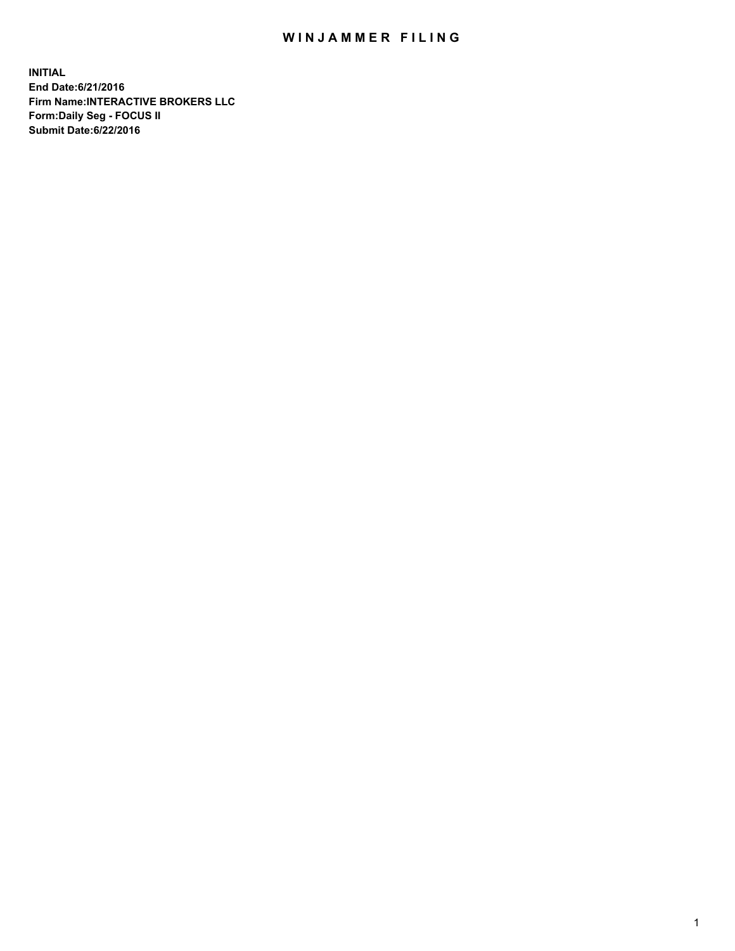## WIN JAMMER FILING

**INITIAL End Date:6/21/2016 Firm Name:INTERACTIVE BROKERS LLC Form:Daily Seg - FOCUS II Submit Date:6/22/2016**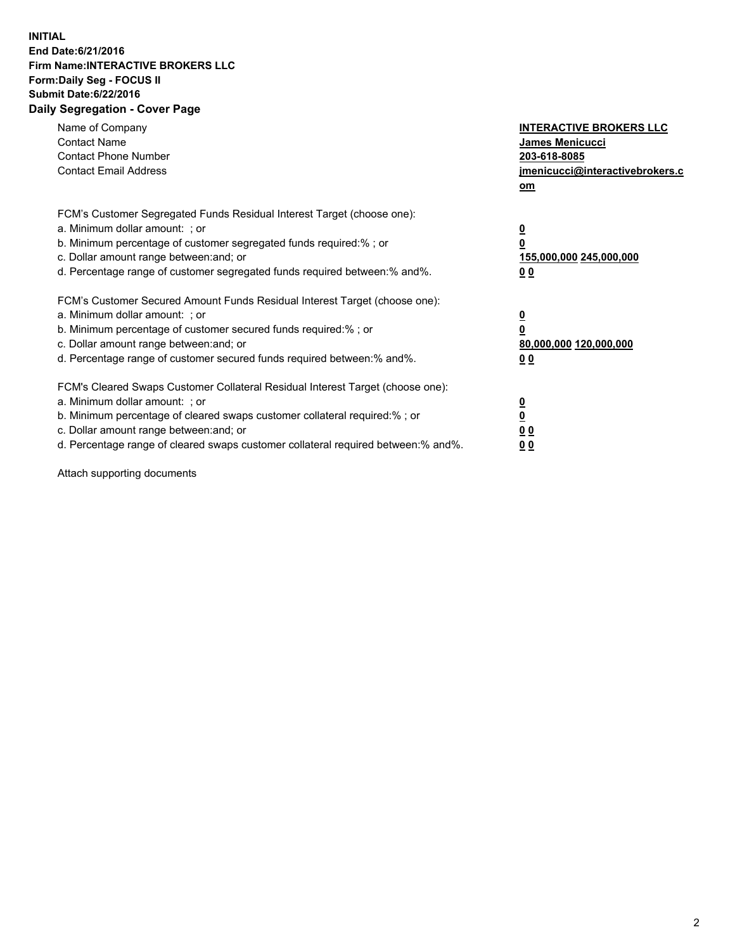## **INITIAL End Date:6/21/2016 Firm Name:INTERACTIVE BROKERS LLC Form:Daily Seg - FOCUS II Submit Date:6/22/2016 Daily Segregation - Cover Page**

| Name of Company<br><b>Contact Name</b><br><b>Contact Phone Number</b><br><b>Contact Email Address</b>                                                                                                                                                                                                                          | <b>INTERACTIVE BROKERS LLC</b><br><b>James Menicucci</b><br>203-618-8085<br>jmenicucci@interactivebrokers.c<br>om |
|--------------------------------------------------------------------------------------------------------------------------------------------------------------------------------------------------------------------------------------------------------------------------------------------------------------------------------|-------------------------------------------------------------------------------------------------------------------|
| FCM's Customer Segregated Funds Residual Interest Target (choose one):<br>a. Minimum dollar amount: ; or<br>b. Minimum percentage of customer segregated funds required:%; or<br>c. Dollar amount range between: and; or<br>d. Percentage range of customer segregated funds required between:% and%.                          | $\overline{\mathbf{0}}$<br>0<br>155,000,000 245,000,000<br>0 <sub>0</sub>                                         |
| FCM's Customer Secured Amount Funds Residual Interest Target (choose one):<br>a. Minimum dollar amount: ; or<br>b. Minimum percentage of customer secured funds required:%; or<br>c. Dollar amount range between: and; or<br>d. Percentage range of customer secured funds required between: % and %.                          | $\overline{\mathbf{0}}$<br>0<br>80,000,000 120,000,000<br>00                                                      |
| FCM's Cleared Swaps Customer Collateral Residual Interest Target (choose one):<br>a. Minimum dollar amount: ; or<br>b. Minimum percentage of cleared swaps customer collateral required:% ; or<br>c. Dollar amount range between: and; or<br>d. Percentage range of cleared swaps customer collateral required between:% and%. | $\overline{\mathbf{0}}$<br>$\overline{\mathbf{0}}$<br>0 <sub>0</sub><br><u>00</u>                                 |

Attach supporting documents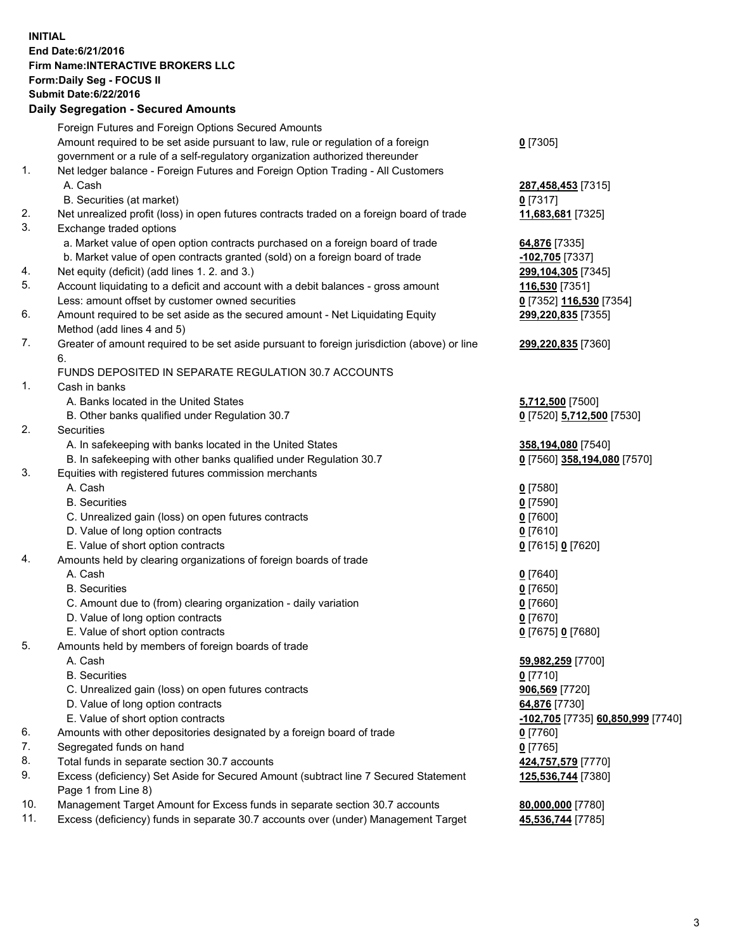## **INITIAL End Date:6/21/2016 Firm Name:INTERACTIVE BROKERS LLC Form:Daily Seg - FOCUS II Submit Date:6/22/2016 Daily Segregation - Secured Amounts**

|     | Foreign Futures and Foreign Options Secured Amounts                                         |                                   |
|-----|---------------------------------------------------------------------------------------------|-----------------------------------|
|     | Amount required to be set aside pursuant to law, rule or regulation of a foreign            | $0$ [7305]                        |
|     | government or a rule of a self-regulatory organization authorized thereunder                |                                   |
| 1.  | Net ledger balance - Foreign Futures and Foreign Option Trading - All Customers             |                                   |
|     | A. Cash                                                                                     | 287,458,453 [7315]                |
|     | B. Securities (at market)                                                                   | $0$ [7317]                        |
| 2.  | Net unrealized profit (loss) in open futures contracts traded on a foreign board of trade   | 11,683,681 [7325]                 |
| 3.  | Exchange traded options                                                                     |                                   |
|     | a. Market value of open option contracts purchased on a foreign board of trade              | 64,876 [7335]                     |
|     | b. Market value of open contracts granted (sold) on a foreign board of trade                | -102,705 [7337]                   |
| 4.  | Net equity (deficit) (add lines 1. 2. and 3.)                                               | 299,104,305 [7345]                |
| 5.  | Account liquidating to a deficit and account with a debit balances - gross amount           | 116,530 [7351]                    |
|     |                                                                                             |                                   |
|     | Less: amount offset by customer owned securities                                            | 0 [7352] 116,530 [7354]           |
| 6.  | Amount required to be set aside as the secured amount - Net Liquidating Equity              | 299,220,835 [7355]                |
|     | Method (add lines 4 and 5)                                                                  |                                   |
| 7.  | Greater of amount required to be set aside pursuant to foreign jurisdiction (above) or line | 299,220,835 [7360]                |
|     | 6.                                                                                          |                                   |
|     | FUNDS DEPOSITED IN SEPARATE REGULATION 30.7 ACCOUNTS                                        |                                   |
| 1.  | Cash in banks                                                                               |                                   |
|     | A. Banks located in the United States                                                       | 5,712,500 [7500]                  |
|     | B. Other banks qualified under Regulation 30.7                                              | 0 [7520] 5,712,500 [7530]         |
| 2.  | Securities                                                                                  |                                   |
|     | A. In safekeeping with banks located in the United States                                   | 358,194,080 [7540]                |
|     | B. In safekeeping with other banks qualified under Regulation 30.7                          | 0 [7560] 358,194,080 [7570]       |
| 3.  | Equities with registered futures commission merchants                                       |                                   |
|     | A. Cash                                                                                     | $0$ [7580]                        |
|     | <b>B.</b> Securities                                                                        | $0$ [7590]                        |
|     | C. Unrealized gain (loss) on open futures contracts                                         | $0$ [7600]                        |
|     | D. Value of long option contracts                                                           | $0$ [7610]                        |
|     | E. Value of short option contracts                                                          | 0 [7615] 0 [7620]                 |
| 4.  | Amounts held by clearing organizations of foreign boards of trade                           |                                   |
|     | A. Cash                                                                                     | $0$ [7640]                        |
|     | <b>B.</b> Securities                                                                        | $0$ [7650]                        |
|     | C. Amount due to (from) clearing organization - daily variation                             | $0$ [7660]                        |
|     | D. Value of long option contracts                                                           | $0$ [7670]                        |
|     | E. Value of short option contracts                                                          | 0 [7675] 0 [7680]                 |
| 5.  | Amounts held by members of foreign boards of trade                                          |                                   |
|     | A. Cash                                                                                     | 59,982,259 [7700]                 |
|     | <b>B.</b> Securities                                                                        | $0$ [7710]                        |
|     | C. Unrealized gain (loss) on open futures contracts                                         | 906,569 [7720]                    |
|     | D. Value of long option contracts                                                           | 64,876 [7730]                     |
|     | E. Value of short option contracts                                                          | -102,705 [7735] 60,850,999 [7740] |
| 6.  | Amounts with other depositories designated by a foreign board of trade                      | $0$ [7760]                        |
| 7.  | Segregated funds on hand                                                                    | $0$ [7765]                        |
| 8.  | Total funds in separate section 30.7 accounts                                               | 424,757,579 [7770]                |
| 9.  | Excess (deficiency) Set Aside for Secured Amount (subtract line 7 Secured Statement         | 125,536,744 [7380]                |
|     | Page 1 from Line 8)                                                                         |                                   |
| 10. | Management Target Amount for Excess funds in separate section 30.7 accounts                 | 80,000,000 [7780]                 |
| 11. | Excess (deficiency) funds in separate 30.7 accounts over (under) Management Target          |                                   |
|     |                                                                                             | 45,536,744 [7785]                 |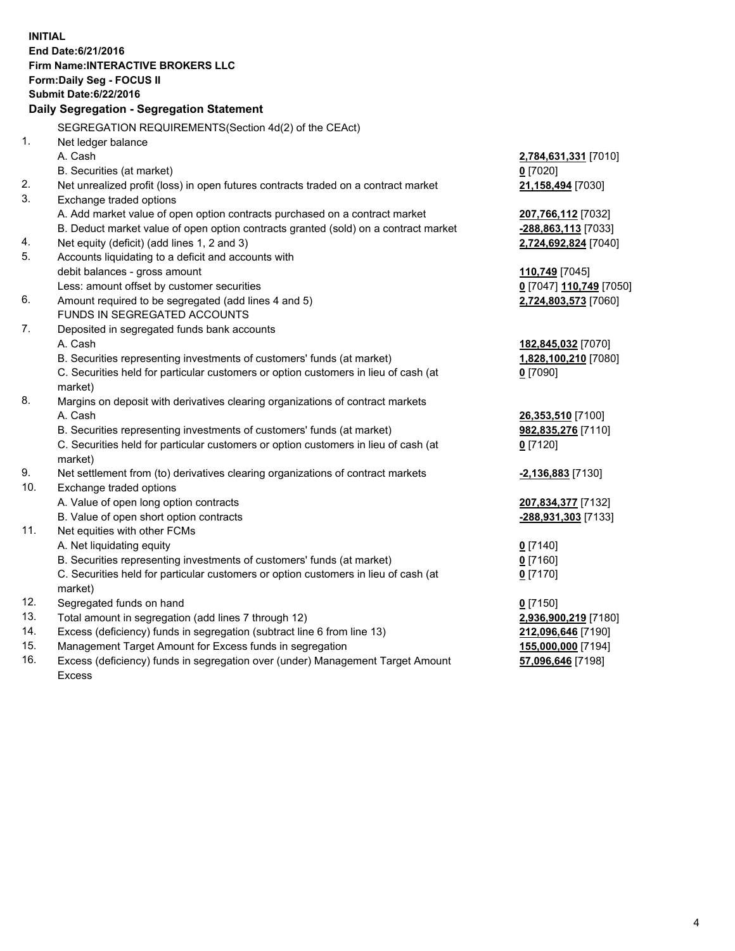**INITIAL End Date:6/21/2016 Firm Name:INTERACTIVE BROKERS LLC Form:Daily Seg - FOCUS II Submit Date:6/22/2016 Daily Segregation - Segregation Statement** SEGREGATION REQUIREMENTS(Section 4d(2) of the CEAct) 1. Net ledger balance A. Cash **2,784,631,331** [7010] B. Securities (at market) **0** [7020] 2. Net unrealized profit (loss) in open futures contracts traded on a contract market **21,158,494** [7030] 3. Exchange traded options A. Add market value of open option contracts purchased on a contract market **207,766,112** [7032] B. Deduct market value of open option contracts granted (sold) on a contract market **-288,863,113** [7033] 4. Net equity (deficit) (add lines 1, 2 and 3) **2,724,692,824** [7040] 5. Accounts liquidating to a deficit and accounts with debit balances - gross amount **110,749** [7045] Less: amount offset by customer securities **0** [7047] **110,749** [7050] 6. Amount required to be segregated (add lines 4 and 5) **2,724,803,573** [7060] FUNDS IN SEGREGATED ACCOUNTS 7. Deposited in segregated funds bank accounts A. Cash **182,845,032** [7070] B. Securities representing investments of customers' funds (at market) **1,828,100,210** [7080] C. Securities held for particular customers or option customers in lieu of cash (at market) **0** [7090] 8. Margins on deposit with derivatives clearing organizations of contract markets A. Cash **26,353,510** [7100] B. Securities representing investments of customers' funds (at market) **982,835,276** [7110] C. Securities held for particular customers or option customers in lieu of cash (at market) **0** [7120] 9. Net settlement from (to) derivatives clearing organizations of contract markets **-2,136,883** [7130] 10. Exchange traded options A. Value of open long option contracts **207,834,377** [7132] B. Value of open short option contracts **-288,931,303** [7133] 11. Net equities with other FCMs A. Net liquidating equity **0** [7140] B. Securities representing investments of customers' funds (at market) **0** [7160] C. Securities held for particular customers or option customers in lieu of cash (at market) **0** [7170] 12. Segregated funds on hand **0** [7150] 13. Total amount in segregation (add lines 7 through 12) **2,936,900,219** [7180] 14. Excess (deficiency) funds in segregation (subtract line 6 from line 13) **212,096,646** [7190] 15. Management Target Amount for Excess funds in segregation **155,000,000** [7194]

16. Excess (deficiency) funds in segregation over (under) Management Target Amount Excess

**57,096,646** [7198]